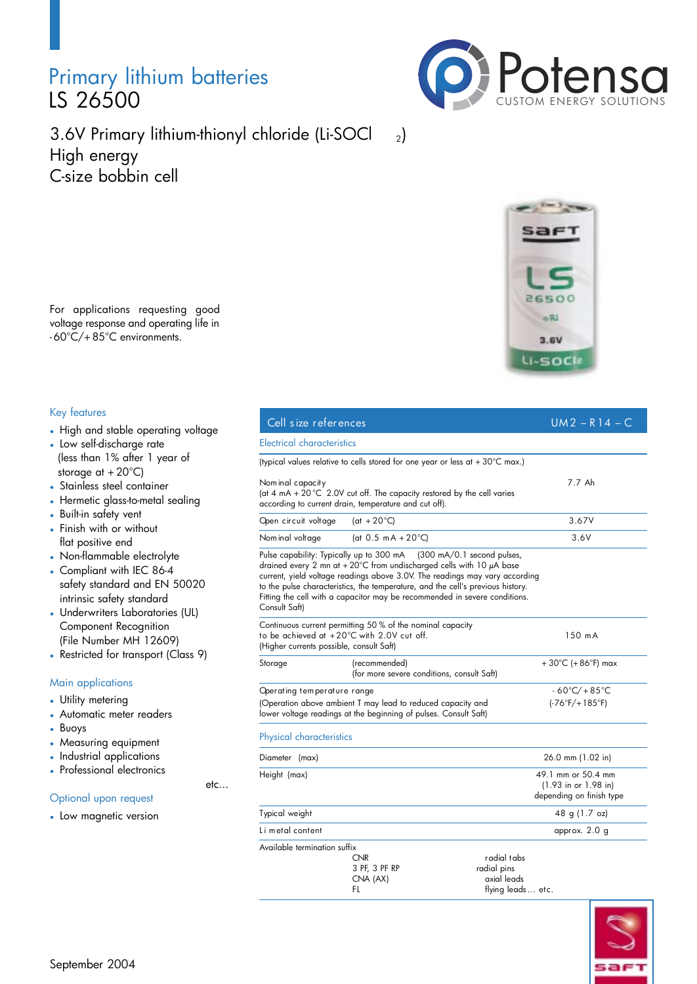## Primary lithium batteries LS 26500



3.6V Primary lithium-thionyl chloride (Li-SOCl 2) High energy C-size bobbin cell

For applications requesting good voltage response and operating life in - 60°C/+ 85°C environments.

### Key features

- High and stable operating voltage
- Low self-discharge rate (less than 1% after 1 year of storage at  $+20^{\circ}$ C)
- Stainless steel container
- Hermetic glass-to-metal sealing
- Built-in safety vent
- Finish with or without flat positive end
- Non-flammable electrolyte
- Compliant with IEC 86-4 safety standard and EN 50020 intrinsic safety standard
- Underwriters Laboratories (UL) Component Recognition (File Number MH 12609)
- Restricted for transport (Class 9)

### Main applications

- Utility metering
- Automatic meter readers
- Buoys
- Measuring equipment
- Industrial applications
- Professional electronics

etc...

### Optional upon request

• Low magnetic version

| Cell size references                                                                                                                                           |                                                                                                                                                                                                                                                                                                                                                                           | $UM2 - R14 - C$                                                          |
|----------------------------------------------------------------------------------------------------------------------------------------------------------------|---------------------------------------------------------------------------------------------------------------------------------------------------------------------------------------------------------------------------------------------------------------------------------------------------------------------------------------------------------------------------|--------------------------------------------------------------------------|
| Electrical characteristics                                                                                                                                     |                                                                                                                                                                                                                                                                                                                                                                           |                                                                          |
|                                                                                                                                                                | (typical values relative to cells stored for one year or less at $+30^{\circ}$ C max.)                                                                                                                                                                                                                                                                                    |                                                                          |
| Nom inal capacity                                                                                                                                              | (at 4 mA + 20 °C 2.0V cut off. The capacity restored by the cell varies<br>according to current drain, temperature and cut off).                                                                                                                                                                                                                                          | 7.7 Ah                                                                   |
| Open circuit voltage                                                                                                                                           | (at $+20^{\circ}$ C)                                                                                                                                                                                                                                                                                                                                                      | 3.67V                                                                    |
| Nom inal voltage                                                                                                                                               | (at 0.5 mA + 20 $^{\circ}$ C)                                                                                                                                                                                                                                                                                                                                             | 3.6V                                                                     |
| Pulse capability: Typically up to 300 mA<br>Consult Saft)                                                                                                      | $(300 \text{ mA}/0.1 \text{ second pulses})$<br>drained every 2 mn at + 20°C from undischarged cells with 10 $\mu$ A base<br>current, yield voltage readings above 3.0V. The readings may vary according<br>to the pulse characteristics, the temperature, and the cell's previous history.<br>Fitting the cell with a capacitor may be recommended in severe conditions. |                                                                          |
| (Higher currents possible, consult Saft)                                                                                                                       | Continuous current permitting 50% of the nominal capacity<br>to be achieved at +20°C with 2.0V cut off.                                                                                                                                                                                                                                                                   | 150 m A                                                                  |
| Storage                                                                                                                                                        | (recommended)<br>(for more severe conditions, consult Saft)                                                                                                                                                                                                                                                                                                               | + 30°C (+ 86°F) max                                                      |
| Operating temperature range<br>(Operation above ambient T may lead to reduced capacity and<br>lower voltage readings at the beginning of pulses. Consult Saft) |                                                                                                                                                                                                                                                                                                                                                                           | $-60^{\circ}$ C/+85 $^{\circ}$ C<br>$(-76°F/+185°F)$                     |
| Physical characteristics                                                                                                                                       |                                                                                                                                                                                                                                                                                                                                                                           |                                                                          |
| Diameter (max)                                                                                                                                                 |                                                                                                                                                                                                                                                                                                                                                                           | 26.0 mm (1.02 in)                                                        |
| Height (max)                                                                                                                                                   |                                                                                                                                                                                                                                                                                                                                                                           | 49.1 mm or 50.4 mm<br>$(1.93$ in or 1.98 in)<br>depending on finish type |
| Typical weight                                                                                                                                                 |                                                                                                                                                                                                                                                                                                                                                                           | 48 g (1.7 oz)                                                            |
| Li metal content                                                                                                                                               |                                                                                                                                                                                                                                                                                                                                                                           | approx. 2.0 g                                                            |
| Available termination suffix                                                                                                                                   | <b>CNR</b><br>3 PF, 3 PF RP<br>CNA (AX)<br>FL                                                                                                                                                                                                                                                                                                                             | radial tabs<br>radial pins<br>axial leads<br>tlying leads etc.           |

 $flying$  leads... etc.